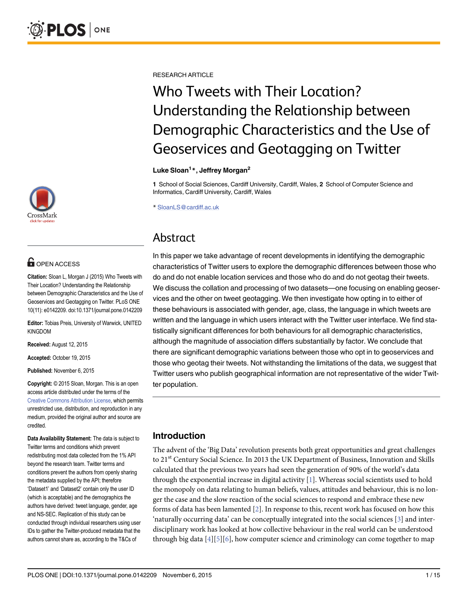

## **OPEN ACCESS**

Citation: Sloan L, Morgan J (2015) Who Tweets with Their Location? Understanding the Relationship between Demographic Characteristics and the Use of Geoservices and Geotagging on Twitter. PLoS ONE 10(11): e0142209. doi:10.1371/journal.pone.0142209

Editor: Tobias Preis, University of Warwick, UNITED KINGDOM

Received: August 12, 2015

Accepted: October 19, 2015

Published: November 6, 2015

Copyright: © 2015 Sloan, Morgan. This is an open access article distributed under the terms of the [Creative Commons Attribution License,](http://creativecommons.org/licenses/by/4.0/) which permits unrestricted use, distribution, and reproduction in any medium, provided the original author and source are credited.

Data Availability Statement: The data is subject to Twitter terms and conditions which prevent redistributing most data collected from the 1% API beyond the research team. Twitter terms and conditions prevent the authors from openly sharing the metadata supplied by the API; therefore 'Dataset1' and 'Dataset2' contain only the user ID (which is acceptable) and the demographics the authors have derived: tweet language, gender, age and NS-SEC. Replication of this study can be conducted through individual researchers using user IDs to gather the Twitter-produced metadata that the authors cannot share as, according to the T&Cs of

<span id="page-0-0"></span>RESEARCH ARTICLE

# Who Tweets with Their Location? Understanding the Relationship between Demographic Characteristics and the Use of Geoservices and Geotagging on Twitter

### Luke Sloan<sup>1</sup>\*, Jeffrey Morgan<sup>2</sup>

1 School of Social Sciences, Cardiff University, Cardiff, Wales, 2 School of Computer Science and Informatics, Cardiff University, Cardiff, Wales

\* SloanLS@cardiff.ac.uk

## Abstract

In this paper we take advantage of recent developments in identifying the demographic characteristics of Twitter users to explore the demographic differences between those who do and do not enable location services and those who do and do not geotag their tweets. We discuss the collation and processing of two datasets—one focusing on enabling geoservices and the other on tweet geotagging. We then investigate how opting in to either of these behaviours is associated with gender, age, class, the language in which tweets are written and the language in which users interact with the Twitter user interface. We find statistically significant differences for both behaviours for all demographic characteristics, although the magnitude of association differs substantially by factor. We conclude that there are significant demographic variations between those who opt in to geoservices and those who geotag their tweets. Not withstanding the limitations of the data, we suggest that Twitter users who publish geographical information are not representative of the wider Twitter population.

## Introduction

The advent of the 'Big Data' revolution presents both great opportunities and great challenges to 21<sup>st</sup> Century Social Science. In 2013 the UK Department of Business, Innovation and Skills calculated that the previous two years had seen the generation of 90% of the world's data through the exponential increase in digital activity  $[1]$  $[1]$ . Whereas social scientists used to hold the monopoly on data relating to human beliefs, values, attitudes and behaviour, this is no longer the case and the slow reaction of the social sciences to respond and embrace these new forms of data has been lamented  $[2]$ . In response to this, recent work has focused on how this 'naturally occurring data' can be conceptually integrated into the social sciences [[3\]](#page-13-0) and interdisciplinary work has looked at how collective behaviour in the real world can be understood through big data  $[4][5][6]$  $[4][5][6]$  $[4][5][6]$  $[4][5][6]$  $[4][5][6]$ , how computer science and criminology can come together to map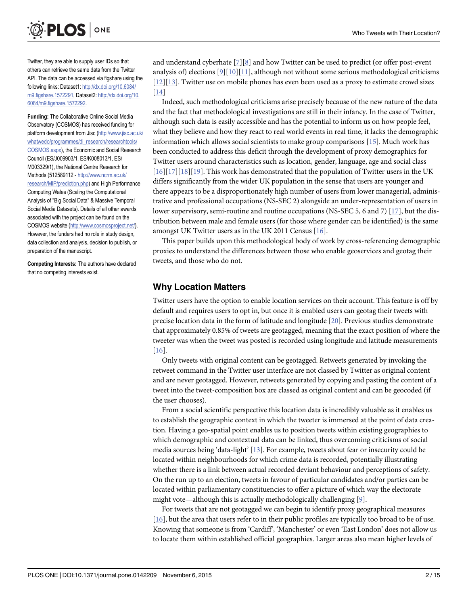<span id="page-1-0"></span>

Twitter, they are able to supply user IDs so that others can retrieve the same data from the Twitter API. The data can be accessed via figshare using the following links: Dataset1: [http://dx.doi.org/10.6084/](http://dx.doi.org/10.6084/m9.figshare.1572291) [m9.figshare.1572291,](http://dx.doi.org/10.6084/m9.figshare.1572291) Dataset2: [http://dx.doi.org/10.](http://dx.doi.org/10.6084/m9.figshare.1572292) [6084/m9.figshare.1572292.](http://dx.doi.org/10.6084/m9.figshare.1572292)

Funding: The Collaborative Online Social Media Observatory (COSMOS) has received funding for platform development from Jisc ([http://www.jisc.ac.uk/](http://www.jisc.ac.uk/whatwedo/programmes/di_research/researchtools/COSMOS.aspx) [whatwedo/programmes/di\\_research/researchtools/](http://www.jisc.ac.uk/whatwedo/programmes/di_research/researchtools/COSMOS.aspx) [COSMOS.aspx\)](http://www.jisc.ac.uk/whatwedo/programmes/di_research/researchtools/COSMOS.aspx), the Economic and Social Research Council (ES/J009903/1, ES/K008013/1, ES/ M003329/1), the National Centre Research for Methods (512589112 - [http://www.ncrm.ac.uk/](http://www.ncrm.ac.uk/research/MIP/prediction.php) [research/MIP/prediction.php\)](http://www.ncrm.ac.uk/research/MIP/prediction.php) and High Performance Computing Wales (Scaling the Computational Analysis of "Big Social Data" & Massive Temporal Social Media Datasets). Details of all other awards associated with the project can be found on the COSMOS website [\(http://www.cosmosproject.net/\)](http://www.cosmosproject.net/). However, the funders had no role in study design, data collection and analysis, decision to publish, or preparation of the manuscript.

Competing Interests: The authors have declared that no competing interests exist.

and understand cyberhate  $\lceil 7 \rceil \lceil 8 \rceil$  $\lceil 7 \rceil \lceil 8 \rceil$  $\lceil 7 \rceil \lceil 8 \rceil$  and how Twitter can be used to predict (or offer post-event analysis of) elections  $[9][10][11]$  $[9][10][11]$  $[9][10][11]$  $[9][10][11]$ , although not without some serious methodological criticisms  $[12][13]$  $[12][13]$  $[12][13]$  $[12][13]$ . Twitter use on mobile phones has even been used as a proxy to estimate crowd sizes [\[14](#page-13-0)]

Indeed, such methodological criticisms arise precisely because of the new nature of the data and the fact that methodological investigations are still in their infancy. In the case of Twitter, although such data is easily accessible and has the potential to inform us on how people feel, what they believe and how they react to real world events in real time, it lacks the demographic information which allows social scientists to make group comparisons  $[15]$  $[15]$  $[15]$ . Much work has been conducted to address this deficit through the development of proxy demographics for Twitter users around characteristics such as location, gender, language, age and social class  $[16][17][18][19]$  $[16][17][18][19]$  $[16][17][18][19]$  $[16][17][18][19]$  $[16][17][18][19]$  $[16][17][18][19]$  $[16][17][18][19]$  $[16][17][18][19]$ . This work has demonstrated that the population of Twitter users in the UK differs significantly from the wider UK population in the sense that users are younger and there appears to be a disproportionately high number of users from lower managerial, administrative and professional occupations (NS-SEC 2) alongside an under-representation of users in lower supervisory, semi-routine and routine occupations (NS-SEC 5, 6 and 7) [\[17\]](#page-13-0), but the distribution between male and female users (for those where gender can be identified) is the same amongst UK Twitter users as in the UK 2011 Census [[16](#page-13-0)].

This paper builds upon this methodological body of work by cross-referencing demographic proxies to understand the differences between those who enable geoservices and geotag their tweets, and those who do not.

## Why Location Matters

Twitter users have the option to enable location services on their account. This feature is off by default and requires users to opt in, but once it is enabled users can geotag their tweets with precise location data in the form of latitude and longitude [\[20\]](#page-13-0). Previous studies demonstrate that approximately 0.85% of tweets are geotagged, meaning that the exact position of where the tweeter was when the tweet was posted is recorded using longitude and latitude measurements [\[16](#page-13-0)].

Only tweets with original content can be geotagged. Retweets generated by invoking the retweet command in the Twitter user interface are not classed by Twitter as original content and are never geotagged. However, retweets generated by copying and pasting the content of a tweet into the tweet-composition box are classed as original content and can be geocoded (if the user chooses).

From a social scientific perspective this location data is incredibly valuable as it enables us to establish the geographic context in which the tweeter is immersed at the point of data creation. Having a geo-spatial point enables us to position tweets within existing geographies to which demographic and contextual data can be linked, thus overcoming criticisms of social media sources being 'data-light' [\[13\]](#page-13-0). For example, tweets about fear or insecurity could be located within neighbourhoods for which crime data is recorded, potentially illustrating whether there is a link between actual recorded deviant behaviour and perceptions of safety. On the run up to an election, tweets in favour of particular candidates and/or parties can be located within parliamentary constituencies to offer a picture of which way the electorate might vote—although this is actually methodologically challenging [[9\]](#page-13-0).

For tweets that are not geotagged we can begin to identify proxy geographical measures [\[16](#page-13-0)], but the area that users refer to in their public profiles are typically too broad to be of use. Knowing that someone is from 'Cardiff', 'Manchester' or even 'East London' does not allow us to locate them within established official geographies. Larger areas also mean higher levels of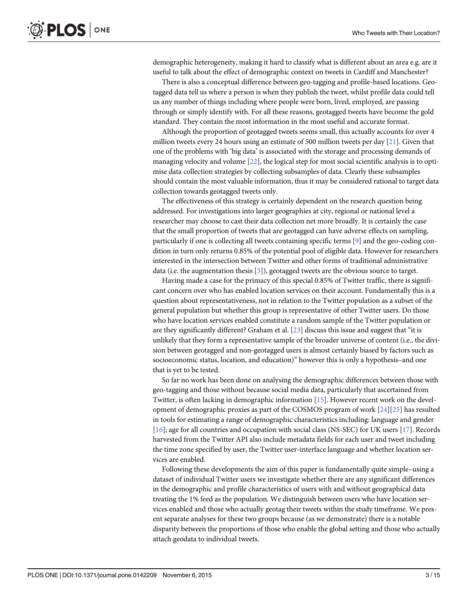<span id="page-2-0"></span>demographic heterogeneity, making it hard to classify what is different about an area e.g. are it useful to talk about the effect of demographic context on tweets in Cardiff and Manchester?

There is also a conceptual difference between geo-tagging and profile-based locations. Geotagged data tell us where a person is when they publish the tweet, whilst profile data could tell us any number of things including where people were born, lived, employed, are passing through or simply identify with. For all these reasons, geotagged tweets have become the gold standard. They contain the most information in the most useful and accurate format.

Although the proportion of geotagged tweets seems small, this actually accounts for over 4 million tweets every 24 hours using an estimate of 500 million tweets per day [[21\]](#page-13-0). Given that one of the problems with 'big data' is associated with the storage and processing demands of managing velocity and volume [\[22\]](#page-13-0), the logical step for most social scientific analysis is to optimise data collection strategies by collecting subsamples of data. Clearly these subsamples should contain the most valuable information, thus it may be considered rational to target data collection towards geotagged tweets only.

The effectiveness of this strategy is certainly dependent on the research question being addressed. For investigations into larger geographies at city, regional or national level a researcher may choose to cast their data collection net more broadly. It is certainly the case that the small proportion of tweets that are geotagged can have adverse effects on sampling, particularly if one is collecting all tweets containing specific terms [[9\]](#page-13-0) and the geo-coding condition in turn only returns 0.85% of the potential pool of eligible data. However for researchers interested in the intersection between Twitter and other forms of traditional administrative data (i.e. the augmentation thesis [\[3](#page-13-0)]), geotagged tweets are the obvious source to target.

Having made a case for the primacy of this special 0.85% of Twitter traffic, there is significant concern over who has enabled location services on their account. Fundamentally this is a question about representativeness, not in relation to the Twitter population as a subset of the general population but whether this group is representative of other Twitter users. Do those who have location services enabled constitute a random sample of the Twitter population or are they significantly different? Graham et al. [[23](#page-13-0)] discuss this issue and suggest that "it is unlikely that they form a representative sample of the broader universe of content (i.e., the division between geotagged and non-geotagged users is almost certainly biased by factors such as socioeconomic status, location, and education)" however this is only a hypothesis–and one that is yet to be tested.

So far no work has been done on analysing the demographic differences between those with geo-tagging and those without because social media data, particularly that ascertained from Twitter, is often lacking in demographic information [\[15](#page-13-0)]. However recent work on the development of demographic proxies as part of the COSMOS program of work [\[24\]](#page-13-0)[[25](#page-14-0)] has resulted in tools for estimating a range of demographic characteristics including: language and gender [\[16](#page-13-0)]; age for all countries and occupation with social class (NS-SEC) for UK users [[17](#page-13-0)]. Records harvested from the Twitter API also include metadata fields for each user and tweet including the time zone specified by user, the Twitter user-interface language and whether location services are enabled.

Following these developments the aim of this paper is fundamentally quite simple–using a dataset of individual Twitter users we investigate whether there are any significant differences in the demographic and profile characteristics of users with and without geographical data treating the 1% feed as the population. We distinguish between users who have location services enabled and those who actually geotag their tweets within the study timeframe. We present separate analyses for these two groups because (as we demonstrate) there is a notable disparity between the proportions of those who enable the global setting and those who actually attach geodata to individual tweets.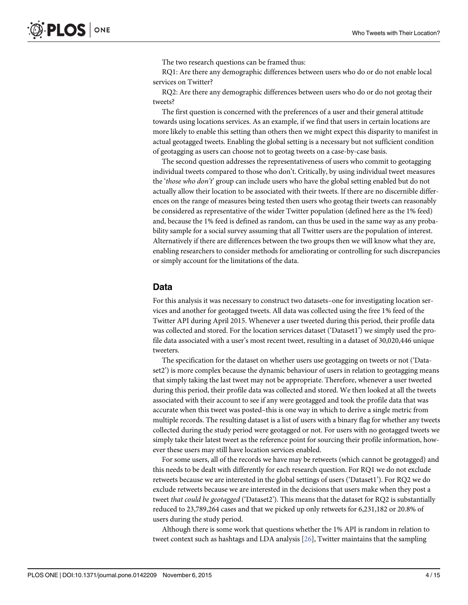The two research questions can be framed thus:

<span id="page-3-0"></span>RQ1: Are there any demographic differences between users who do or do not enable local services on Twitter?

RQ2: Are there any demographic differences between users who do or do not geotag their tweets?

The first question is concerned with the preferences of a user and their general attitude towards using locations services. As an example, if we find that users in certain locations are more likely to enable this setting than others then we might expect this disparity to manifest in actual geotagged tweets. Enabling the global setting is a necessary but not sufficient condition of geotagging as users can choose not to geotag tweets on a case-by-case basis.

The second question addresses the representativeness of users who commit to geotagging individual tweets compared to those who don't. Critically, by using individual tweet measures the 'those who don't' group can include users who have the global setting enabled but do not actually allow their location to be associated with their tweets. If there are no discernible differences on the range of measures being tested then users who geotag their tweets can reasonably be considered as representative of the wider Twitter population (defined here as the 1% feed) and, because the 1% feed is defined as random, can thus be used in the same way as any probability sample for a social survey assuming that all Twitter users are the population of interest. Alternatively if there are differences between the two groups then we will know what they are, enabling researchers to consider methods for ameliorating or controlling for such discrepancies or simply account for the limitations of the data.

## Data

For this analysis it was necessary to construct two datasets–one for investigating location services and another for geotagged tweets. All data was collected using the free 1% feed of the Twitter API during April 2015. Whenever a user tweeted during this period, their profile data was collected and stored. For the location services dataset ('Dataset1') we simply used the profile data associated with a user's most recent tweet, resulting in a dataset of 30,020,446 unique tweeters.

The specification for the dataset on whether users use geotagging on tweets or not ('Dataset2') is more complex because the dynamic behaviour of users in relation to geotagging means that simply taking the last tweet may not be appropriate. Therefore, whenever a user tweeted during this period, their profile data was collected and stored. We then looked at all the tweets associated with their account to see if any were geotagged and took the profile data that was accurate when this tweet was posted–this is one way in which to derive a single metric from multiple records. The resulting dataset is a list of users with a binary flag for whether any tweets collected during the study period were geotagged or not. For users with no geotagged tweets we simply take their latest tweet as the reference point for sourcing their profile information, however these users may still have location services enabled.

For some users, all of the records we have may be retweets (which cannot be geotagged) and this needs to be dealt with differently for each research question. For RQ1 we do not exclude retweets because we are interested in the global settings of users ('Dataset1'). For RQ2 we do exclude retweets because we are interested in the decisions that users make when they post a tweet that could be geotagged ('Dataset2'). This means that the dataset for RQ2 is substantially reduced to 23,789,264 cases and that we picked up only retweets for 6,231,182 or 20.8% of users during the study period.

Although there is some work that questions whether the 1% API is random in relation to tweet context such as hashtags and LDA analysis [\[26\]](#page-14-0), Twitter maintains that the sampling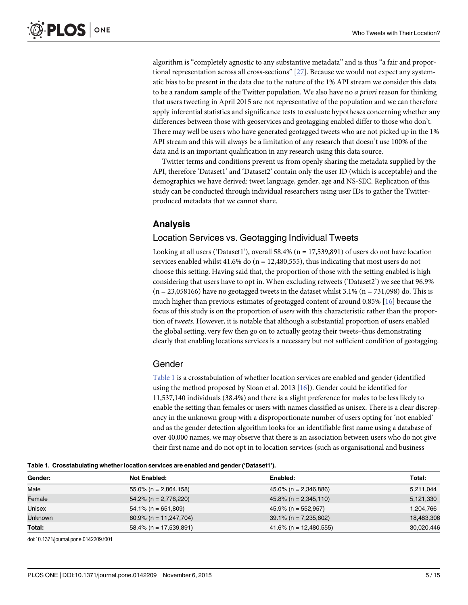<span id="page-4-0"></span>algorithm is "completely agnostic to any substantive metadata" and is thus "a fair and proportional representation across all cross-sections" [\[27\]](#page-14-0). Because we would not expect any systematic bias to be present in the data due to the nature of the 1% API stream we consider this data to be a random sample of the Twitter population. We also have no *a priori* reason for thinking that users tweeting in April 2015 are not representative of the population and we can therefore apply inferential statistics and significance tests to evaluate hypotheses concerning whether any differences between those with geoservices and geotagging enabled differ to those who don't. There may well be users who have generated geotagged tweets who are not picked up in the 1% API stream and this will always be a limitation of any research that doesn't use 100% of the data and is an important qualification in any research using this data source.

Twitter terms and conditions prevent us from openly sharing the metadata supplied by the API, therefore 'Dataset1' and 'Dataset2' contain only the user ID (which is acceptable) and the demographics we have derived: tweet language, gender, age and NS-SEC. Replication of this study can be conducted through individual researchers using user IDs to gather the Twitterproduced metadata that we cannot share.

## Analysis

## Location Services vs. Geotagging Individual Tweets

Looking at all users ('Dataset1'), overall 58.4% ( $n = 17,539,891$ ) of users do not have location services enabled whilst  $41.6\%$  do (n = 12,480,555), thus indicating that most users do not choose this setting. Having said that, the proportion of those with the setting enabled is high considering that users have to opt in. When excluding retweets ('Dataset2') we see that 96.9%  $(n = 23,058166)$  have no geotagged tweets in the dataset whilst 3.1%  $(n = 731,098)$  do. This is much higher than previous estimates of geotagged content of around 0.85% [[16\]](#page-13-0) because the focus of this study is on the proportion of users with this characteristic rather than the proportion of tweets. However, it is notable that although a substantial proportion of users enabled the global setting, very few then go on to actually geotag their tweets–thus demonstrating clearly that enabling locations services is a necessary but not sufficient condition of geotagging.

## Gender

Table 1 is a crosstabulation of whether location services are enabled and gender (identified using the method proposed by Sloan et al. 2013 [\[16\]](#page-13-0)). Gender could be identified for 11,537,140 individuals (38.4%) and there is a slight preference for males to be less likely to enable the setting than females or users with names classified as unisex. There is a clear discrepancy in the unknown group with a disproportionate number of users opting for 'not enabled' and as the gender detection algorithm looks for an identifiable first name using a database of over 40,000 names, we may observe that there is an association between users who do not give their first name and do not opt in to location services (such as organisational and business

Table 1. Crosstabulating whether location services are enabled and gender ('Dataset1').

| Gender:        | Not Enabled:              | Enabled:                  | Total:     |
|----------------|---------------------------|---------------------------|------------|
| Male           | $55.0\%$ (n = 2,864,158)  | $45.0\%$ (n = 2,346,886)  | 5,211,044  |
| Female         | $54.2\%$ (n = 2,776,220)  | $45.8\%$ (n = 2,345,110)  | 5,121,330  |
| Unisex         | $54.1\%$ (n = 651,809)    | $45.9\%$ (n = 552,957)    | 1,204,766  |
| <b>Unknown</b> | $60.9\%$ (n = 11,247,704) | $39.1\%$ (n = 7,235,602)  | 18,483,306 |
| Total:         | $58.4\%$ (n = 17,539,891) | $41.6\%$ (n = 12,480,555) | 30,020,446 |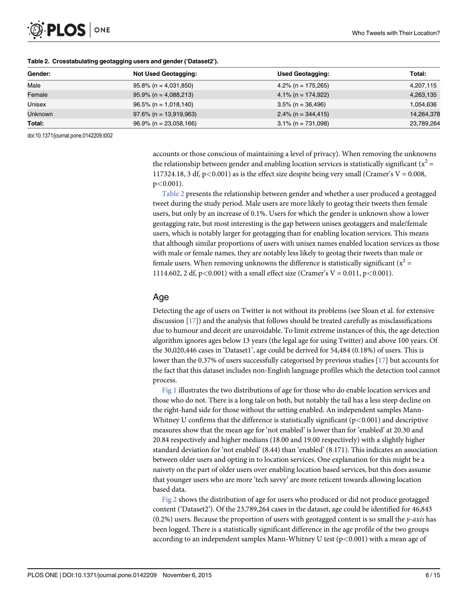<span id="page-5-0"></span>

| Gender:        | <b>Not Used Geotagging:</b> | <b>Used Geotagging:</b> | Total:     |
|----------------|-----------------------------|-------------------------|------------|
| Male           | $95.8\%$ (n = 4,031,850)    | 4.2% (n = 175,265)      | 4,207,115  |
| Female         | $95.9\%$ (n = 4,088,213)    | $4.1\%$ (n = 174,922)   | 4,263,135  |
| Unisex         | $96.5\%$ (n = 1,018,140)    | $3.5\%$ (n = 36,496)    | 1,054,636  |
| <b>Unknown</b> | $97.6\%$ (n = 13,919,963)   | $2.4\%$ (n = 344,415)   | 14,264,378 |
| Total:         | $96.9\%$ (n = 23,058,166)   | $3.1\%$ (n = 731,098)   | 23,789,264 |

#### Table 2. Crosstabulating geotagging users and gender ('Dataset2').

doi:10.1371/journal.pone.0142209.t002

accounts or those conscious of maintaining a level of privacy). When removing the unknowns the relationship between gender and enabling location services is statistically significant ( $x^2 =$ 117324.18, 3 df,  $p < 0.001$ ) as is the effect size despite being very small (Cramer's V = 0.008,  $p<0.001$ ).

Table 2 presents the relationship between gender and whether a user produced a geotagged tweet during the study period. Male users are more likely to geotag their tweets then female users, but only by an increase of 0.1%. Users for which the gender is unknown show a lower geotagging rate, but most interesting is the gap between unisex geotaggers and male/female users, which is notably larger for geotagging than for enabling location services. This means that although similar proportions of users with unisex names enabled location services as those with male or female names, they are notably less likely to geotag their tweets than male or female users. When removing unknowns the difference is statistically significant ( $x^2 =$ 1114.602, 2 df, p<0.001) with a small effect size (Cramer's V = 0.011, p<0.001).

## Age

Detecting the age of users on Twitter is not without its problems (see Sloan et al. for extensive discussion [[17](#page-13-0)]) and the analysis that follows should be treated carefully as misclassifications due to humour and deceit are unavoidable. To limit extreme instances of this, the age detection algorithm ignores ages below 13 years (the legal age for using Twitter) and above 100 years. Of the 30,020,446 cases in 'Dataset1', age could be derived for 54,484 (0.18%) of users. This is lower than the 0.37% of users successfully categorised by previous studies [[17\]](#page-13-0) but accounts for the fact that this dataset includes non-English language profiles which the detection tool cannot process.

[Fig 1](#page-6-0) illustrates the two distributions of age for those who do enable location services and those who do not. There is a long tale on both, but notably the tail has a less steep decline on the right-hand side for those without the setting enabled. An independent samples Mann-Whitney U confirms that the difference is statistically significant ( $p<0.001$ ) and descriptive measures show that the mean age for 'not enabled' is lower than for 'enabled' at 20.30 and 20.84 respectively and higher medians (18.00 and 19.00 respectively) with a slightly higher standard deviation for 'not enabled' (8.44) than 'enabled' (8.171). This indicates an association between older users and opting in to location services. One explanation for this might be a naivety on the part of older users over enabling location based services, but this does assume that younger users who are more 'tech savvy' are more reticent towards allowing location based data.

[Fig 2](#page-6-0) shows the distribution of age for users who produced or did not produce geotagged content ('Dataset2'). Of the 23,789,264 cases in the dataset, age could be identified for 46,843  $(0.2%)$  users. Because the proportion of users with geotagged content is so small the y-axis has been logged. There is a statistically significant difference in the age profile of the two groups according to an independent samples Mann-Whitney U test  $(p<0.001)$  with a mean age of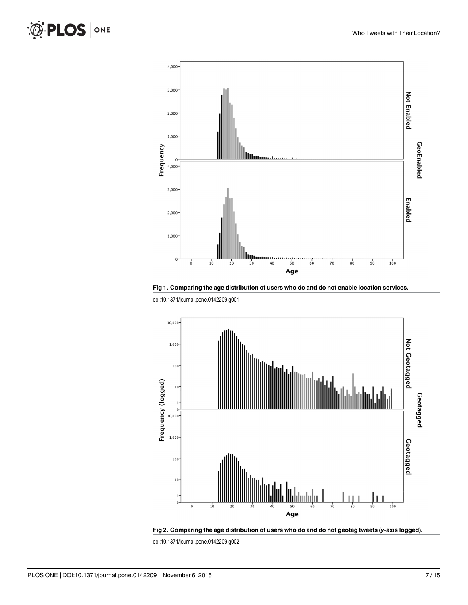<span id="page-6-0"></span>



doi:10.1371/journal.pone.0142209.g001



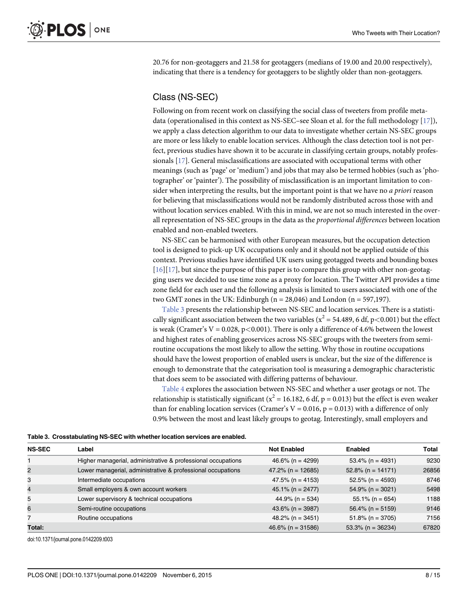<span id="page-7-0"></span>20.76 for non-geotaggers and 21.58 for geotaggers (medians of 19.00 and 20.00 respectively), indicating that there is a tendency for geotaggers to be slightly older than non-geotaggers.

## Class (NS-SEC)

Following on from recent work on classifying the social class of tweeters from profile metadata (operationalised in this context as NS-SEC–see Sloan et al. for the full methodology [\[17](#page-13-0)]), we apply a class detection algorithm to our data to investigate whether certain NS-SEC groups are more or less likely to enable location services. Although the class detection tool is not perfect, previous studies have shown it to be accurate in classifying certain groups, notably professionals [[17](#page-13-0)]. General misclassifications are associated with occupational terms with other meanings (such as 'page' or 'medium') and jobs that may also be termed hobbies (such as 'photographer' or 'painter'). The possibility of misclassification is an important limitation to consider when interpreting the results, but the important point is that we have no *a priori* reason for believing that misclassifications would not be randomly distributed across those with and without location services enabled. With this in mind, we are not so much interested in the overall representation of NS-SEC groups in the data as the proportional differences between location enabled and non-enabled tweeters.

NS-SEC can be harmonised with other European measures, but the occupation detection tool is designed to pick-up UK occupations only and it should not be applied outside of this context. Previous studies have identified UK users using geotagged tweets and bounding boxes [\[16](#page-13-0)][[17](#page-13-0)], but since the purpose of this paper is to compare this group with other non-geotagging users we decided to use time zone as a proxy for location. The Twitter API provides a time zone field for each user and the following analysis is limited to users associated with one of the two GMT zones in the UK: Edinburgh ( $n = 28,046$ ) and London ( $n = 597,197$ ).

Table 3 presents the relationship between NS-SEC and location services. There is a statistically significant association between the two variables ( $x^2 = 54.489$ , 6 df, p<0.001) but the effect is weak (Cramer's  $V = 0.028$ , p<0.001). There is only a difference of 4.6% between the lowest and highest rates of enabling geoservices across NS-SEC groups with the tweeters from semiroutine occupations the most likely to allow the setting. Why those in routine occupations should have the lowest proportion of enabled users is unclear, but the size of the difference is enough to demonstrate that the categorisation tool is measuring a demographic characteristic that does seem to be associated with differing patterns of behaviour.

[Table 4](#page-8-0) explores the association between NS-SEC and whether a user geotags or not. The relationship is statistically significant ( $x^2$  = 16.182, 6 df, p = 0.013) but the effect is even weaker than for enabling location services (Cramer's  $V = 0.016$ ,  $p = 0.013$ ) with a difference of only 0.9% between the most and least likely groups to geotag. Interestingly, small employers and

Table 3. Crosstabulating NS-SEC with whether location services are enabled.

| <b>NS-SEC</b>  | Label                                                        | <b>Not Enabled</b>   | Enabled              | Total |
|----------------|--------------------------------------------------------------|----------------------|----------------------|-------|
|                | Higher managerial, administrative & professional occupations | $46.6\%$ (n = 4299)  | $53.4\%$ (n = 4931)  | 9230  |
| $\overline{2}$ | Lower managerial, administrative & professional occupations  | $47.2\%$ (n = 12685) | $52.8\%$ (n = 14171) | 26856 |
| 3              | Intermediate occupations                                     | $47.5\%$ (n = 4153)  | $52.5\%$ (n = 4593)  | 8746  |
| $\overline{4}$ | Small employers & own account workers                        | $45.1\%$ (n = 2477)  | $54.9\%$ (n = 3021)  | 5498  |
| 5              | Lower supervisory & technical occupations                    | 44.9% (n = 534)      | $55.1\%$ (n = 654)   | 1188  |
| 6              | Semi-routine occupations                                     | $43.6\%$ (n = 3987)  | $56.4\%$ (n = 5159)  | 9146  |
|                | Routine occupations                                          | $48.2\%$ (n = 3451)  | $51.8\%$ (n = 3705)  | 7156  |
| Total:         |                                                              | $46.6\%$ (n = 31586) | $53.3\%$ (n = 36234) | 67820 |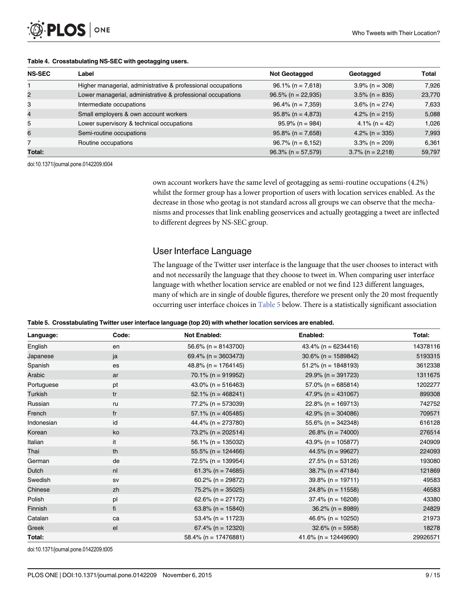#### <span id="page-8-0"></span>[Table 4.](#page-7-0) Crosstabulating NS-SEC with geotagging users.

| <b>NS-SEC</b> | Label                                                        | <b>Not Geotagged</b>  | Geotagged           | Total  |
|---------------|--------------------------------------------------------------|-----------------------|---------------------|--------|
|               | Higher managerial, administrative & professional occupations | $96.1\%$ (n = 7,618)  | $3.9\%$ (n = 308)   | 7.926  |
| 2             | Lower managerial, administrative & professional occupations  | $96.5\%$ (n = 22,935) | $3.5\%$ (n = 835)   | 23,770 |
| 3             | Intermediate occupations                                     | $96.4\%$ (n = 7,359)  | $3.6\%$ (n = 274)   | 7,633  |
| 4             | Small employers & own account workers                        | $95.8\%$ (n = 4,873)  | $4.2\%$ (n = 215)   | 5,088  |
| 5             | Lower supervisory & technical occupations                    | $95.9\%$ (n = 984)    | $4.1\%$ (n = 42)    | 1,026  |
| 6             | Semi-routine occupations                                     | $95.8\%$ (n = 7,658)  | $4.2\%$ (n = 335)   | 7,993  |
|               | Routine occupations                                          | $96.7\%$ (n = 6,152)  | $3.3\%$ (n = 209)   | 6,361  |
| Total:        |                                                              | $96.3\%$ (n = 57,579) | $3.7\%$ (n = 2,218) | 59,797 |

doi:10.1371/journal.pone.0142209.t004

own account workers have the same level of geotagging as semi-routine occupations (4.2%) whilst the former group has a lower proportion of users with location services enabled. As the decrease in those who geotag is not standard across all groups we can observe that the mechanisms and processes that link enabling geoservices and actually geotagging a tweet are inflected to different degrees by NS-SEC group.

## User Interface Language

The language of the Twitter user interface is the language that the user chooses to interact with and not necessarily the language that they choose to tweet in. When comparing user interface language with whether location service are enabled or not we find 123 different languages, many of which are in single of double figures, therefore we present only the 20 most frequently occurring user interface choices in  $Table 5$  below. There is a statistically significant association

|  | Table 5. Crosstabulating Twitter user interface language (top 20) with whether location services are enabled. |  |  |
|--|---------------------------------------------------------------------------------------------------------------|--|--|
|  |                                                                                                               |  |  |

| Language:  | Code:          | <b>Not Enabled:</b>     | Enabled:                | Total:   |
|------------|----------------|-------------------------|-------------------------|----------|
| English    | en             | $56.6\%$ (n = 8143700)  | $43.4\%$ (n = 6234416)  | 14378116 |
| Japanese   | ja             | 69.4% ( $n = 3603473$ ) | $30.6\%$ (n = 1589842)  | 5193315  |
| Spanish    | es             | $48.8\%$ (n = 1764145)  | $51.2\%$ (n = 1848193)  | 3612338  |
| Arabic     | ar             | $70.1\%$ (n = 919952)   | $29.9\%$ (n = 391723)   | 1311675  |
| Portuguese | pt             | 43.0% ( $n = 516463$ )  | $57.0\%$ (n = 685814)   | 1202277  |
| Turkish    | tr             | $52.1\%$ (n = 468241)   | 47.9% ( $n = 431067$ )  | 899308   |
| Russian    | ru             | $77.2\%$ (n = 573039)   | $22.8\%$ (n = 169713)   | 742752   |
| French     | f <sub>r</sub> | $57.1\%$ (n = 405485)   | 42.9% ( $n = 304086$ )  | 709571   |
| Indonesian | id             | 44.4% ( $n = 273780$ )  | $55.6\%$ (n = 342348)   | 616128   |
| Korean     | ko             | 73.2% (n = 202514)      | $26.8\%$ (n = 74000)    | 276514   |
| Italian    | it             | $56.1\%$ (n = 135032)   | 43.9% ( $n = 105877$ )  | 240909   |
| Thai       | th             | $55.5\%$ (n = 124466)   | 44.5% ( $n = 99627$ )   | 224093   |
| German     | de             | $72.5\%$ (n = 139954)   | $27.5\%$ (n = 53126)    | 193080   |
| Dutch      | n <sub>l</sub> | $61.3\%$ (n = 74685)    | $38.7\%$ (n = 47184)    | 121869   |
| Swedish    | sv             | $60.2\%$ (n = 29872)    | $39.8\%$ (n = 19711)    | 49583    |
| Chinese    | zh             | $75.2\%$ (n = 35025)    | $24.8\%$ (n = 11558)    | 46583    |
| Polish     | pl             | 62.6% ( $n = 27172$ )   | $37.4\%$ (n = 16208)    | 43380    |
| Finnish    | fi             | 63.8% (n = $15840$ )    | $36.2\%$ (n = 8989)     | 24829    |
| Catalan    | ca             | $53.4\%$ (n = 11723)    | 46.6% (n = 10250)       | 21973    |
| Greek      | el             | $67.4\%$ (n = 12320)    | $32.6\%$ (n = 5958)     | 18278    |
| Total:     |                | $58.4\%$ (n = 17476881) | $41.6\%$ (n = 12449690) | 29926571 |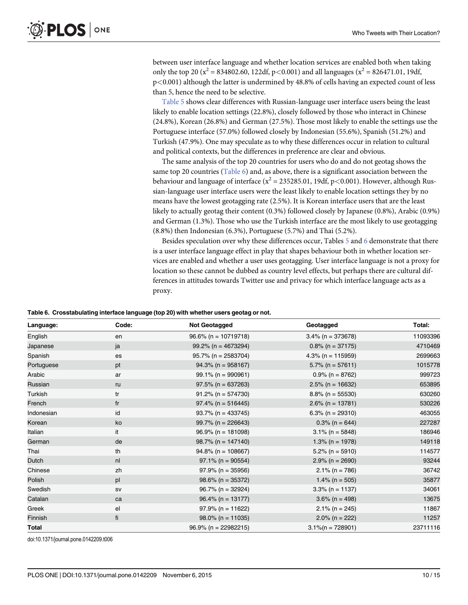<span id="page-9-0"></span>between user interface language and whether location services are enabled both when taking only the top 20 ( $x^2 = 834802.60$ , 122df, p<0.001) and all languages ( $x^2 = 826471.01$ , 19df, p<0.001) although the latter is undermined by 48.8% of cells having an expected count of less than 5, hence the need to be selective.

[Table 5](#page-8-0) shows clear differences with Russian-language user interface users being the least likely to enable location settings (22.8%), closely followed by those who interact in Chinese (24.8%), Korean (26.8%) and German (27.5%). Those most likely to enable the settings use the Portuguese interface (57.0%) followed closely by Indonesian (55.6%), Spanish (51.2%) and Turkish (47.9%). One may speculate as to why these differences occur in relation to cultural and political contexts, but the differences in preference are clear and obvious.

The same analysis of the top 20 countries for users who do and do not geotag shows the same top 20 countries (Table 6) and, as above, there is a significant association between the behaviour and language of interface ( $x^2 = 235285.01$ , 19df, p<0.001). However, although Russian-language user interface users were the least likely to enable location settings they by no means have the lowest geotagging rate (2.5%). It is Korean interface users that are the least likely to actually geotag their content (0.3%) followed closely by Japanese (0.8%), Arabic (0.9%) and German (1.3%). Those who use the Turkish interface are the most likely to use geotagging (8.8%) then Indonesian (6.3%), Portuguese (5.7%) and Thai (5.2%).

Besides speculation over why these differences occur, Tables [5](#page-8-0) and 6 demonstrate that there is a user interface language effect in play that shapes behaviour both in whether location services are enabled and whether a user uses geotagging. User interface language is not a proxy for location so these cannot be dubbed as country level effects, but perhaps there are cultural differences in attitudes towards Twitter use and privacy for which interface language acts as a proxy.

#### Table 6. Crosstabulating interface language (top 20) with whether users geotag or not.

| Language:  | Code:          | <b>Not Geotagged</b>    | Geotagged            | Total:   |
|------------|----------------|-------------------------|----------------------|----------|
| English    | en             | $96.6\%$ (n = 10719718) | $3.4\%$ (n = 373678) | 11093396 |
| Japanese   | ja             | $99.2\%$ (n = 4673294)  | $0.8\%$ (n = 37175)  | 4710469  |
| Spanish    | es             | $95.7\%$ (n = 2583704)  | 4.3% (n = $115959$ ) | 2699663  |
| Portuguese | pt             | $94.3\%$ (n = 958167)   | $5.7\%$ (n = 57611)  | 1015778  |
| Arabic     | ar             | $99.1\%$ (n = 990961)   | $0.9\%$ (n = 8762)   | 999723   |
| Russian    | ru             | $97.5\%$ (n = 637263)   | $2.5\%$ (n = 16632)  | 653895   |
| Turkish    | tr             | $91.2\%$ (n = 574730)   | $8.8\%$ (n = 55530)  | 630260   |
| French     | fr             | $97.4\%$ (n = 516445)   | $2.6\%$ (n = 13781)  | 530226   |
| Indonesian | id             | $93.7\%$ (n = 433745)   | $6.3\%$ (n = 29310)  | 463055   |
| Korean     | ko             | $99.7\%$ (n = 226643)   | $0.3\%$ (n = 644)    | 227287   |
| Italian    | it             | $96.9\%$ (n = 181098)   | $3.1\%$ (n = 5848)   | 186946   |
| German     | de             | $98.7\%$ (n = 147140)   | $1.3\%$ (n = 1978)   | 149118   |
| Thai       | th             | $94.8\%$ (n = 108667)   | $5.2\%$ (n = 5910)   | 114577   |
| Dutch      | n <sub>l</sub> | $97.1\%$ (n = 90554)    | $2.9\%$ (n = 2690)   | 93244    |
| Chinese    | zh             | $97.9\%$ (n = 35956)    | $2.1\%$ (n = 786)    | 36742    |
| Polish     | pl             | $98.6\%$ (n = 35372)    | $1.4\%$ (n = 505)    | 35877    |
| Swedish    | SV             | $96.7\%$ (n = 32924)    | $3.3\%$ (n = 1137)   | 34061    |
| Catalan    | ca             | $96.4\%$ (n = 13177)    | $3.6\%$ (n = 498)    | 13675    |
| Greek      | el             | $97.9\%$ (n = 11622)    | $2.1\%$ (n = 245)    | 11867    |
| Finnish    | fi             | $98.0\%$ (n = 11035)    | $2.0\%$ (n = 222)    | 11257    |
| Total      |                | $96.9\%$ (n = 22982215) | $3.1\%$ (n = 728901) | 23711116 |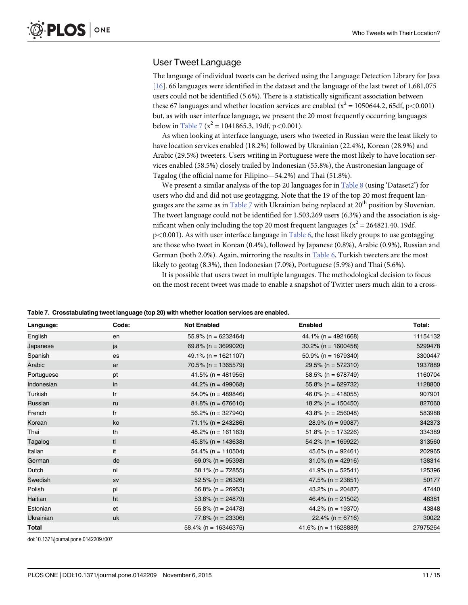## <span id="page-10-0"></span>User Tweet Language

The language of individual tweets can be derived using the Language Detection Library for Java [\[16](#page-13-0)]. 66 languages were identified in the dataset and the language of the last tweet of 1,681,075 users could not be identified (5.6%). There is a statistically significant association between these 67 languages and whether location services are enabled ( $x^2 = 1050644.2$ , 65df, p<0.001) but, as with user interface language, we present the 20 most frequently occurring languages below in  $\frac{\text{Table 7}}{\text{a}}$  (x<sup>2</sup> = 1041865.3, 19df, p<0.001).

As when looking at interface language, users who tweeted in Russian were the least likely to have location services enabled (18.2%) followed by Ukrainian (22.4%), Korean (28.9%) and Arabic (29.5%) tweeters. Users writing in Portuguese were the most likely to have location services enabled (58.5%) closely trailed by Indonesian (55.8%), the Austronesian language of Tagalog (the official name for Filipino—54.2%) and Thai (51.8%).

We present a similar analysis of the top 20 languages for in  $Table 8$  (using 'Dataset2') for users who did and did not use geotagging. Note that the 19 of the top 20 most frequent languages are the same as in  $Table 7$  with Ukrainian being replaced at  $20<sup>th</sup>$  position by Slovenian. The tweet language could not be identified for 1,503,269 users (6.3%) and the association is significant when only including the top 20 most frequent languages ( $x^2 = 264821.40$ , 19df,  $p<0.001$ ). As with user interface language in  $Table 6$ , the least likely groups to use geotagging are those who tweet in Korean (0.4%), followed by Japanese (0.8%), Arabic (0.9%), Russian and German (both 2.0%). Again, mirroring the results in [Table 6](#page-9-0), Turkish tweeters are the most likely to geotag (8.3%), then Indonesian (7.0%), Portuguese (5.9%) and Thai (5.6%).

It is possible that users tweet in multiple languages. The methodological decision to focus on the most recent tweet was made to enable a snapshot of Twitter users much akin to a cross-

|  |  |  | Table 7. Crosstabulating tweet language (top 20) with whether location services are enabled. |
|--|--|--|----------------------------------------------------------------------------------------------|
|--|--|--|----------------------------------------------------------------------------------------------|

| Language:  | Code: | <b>Not Enabled</b>      | <b>Enabled</b>           | Total:   |
|------------|-------|-------------------------|--------------------------|----------|
| English    | en    | $55.9\%$ (n = 6232464)  | 44.1% ( $n = 4921668$ )  | 11154132 |
| Japanese   | ja    | 69.8% ( $n = 3699020$ ) | $30.2\%$ (n = 1600458)   | 5299478  |
| Spanish    | es    | 49.1% (n = $1621107$ )  | $50.9\%$ (n = 1679340)   | 3300447  |
| Arabic     | ar    | $70.5\%$ (n = 1365579)  | $29.5\%$ (n = 572310)    | 1937889  |
| Portuguese | pt    | $41.5\%$ (n = 481955)   | $58.5\%$ (n = 678749)    | 1160704  |
| Indonesian | in    | 44.2% ( $n = 499068$ )  | $55.8\%$ (n = 629732)    | 1128800  |
| Turkish    | tr    | $54.0\%$ (n = 489846)   | 46.0% ( $n = 418055$ )   | 907901   |
| Russian    | ru    | $81.8\%$ (n = 676610)   | 18.2% (n = $150450$ )    | 827060   |
| French     | fr    | $56.2\%$ (n = 327940)   | 43.8% (n = $256048$ )    | 583988   |
| Korean     | ko    | $71.1\%$ (n = 243286)   | $28.9\%$ (n = 99087)     | 342373   |
| Thai       | th    | $48.2\%$ (n = 161163)   | $51.8\%$ (n = 173226)    | 334389   |
| Tagalog    | tl    | $45.8\%$ (n = 143638)   | $54.2\%$ (n = 169922)    | 313560   |
| Italian    | it    | $54.4\%$ (n = 110504)   | 45.6% ( $n = 92461$ )    | 202965   |
| German     | de    | 69.0% ( $n = 95398$ )   | $31.0\%$ (n = 42916)     | 138314   |
| Dutch      | nl    | $58.1\%$ (n = 72855)    | $41.9\%$ (n = 52541)     | 125396   |
| Swedish    | SV    | $52.5\%$ (n = 26326)    | $47.5\%$ (n = 23851)     | 50177    |
| Polish     | pl    | $56.8\%$ (n = 26953)    | 43.2% ( $n = 20487$ )    | 47440    |
| Haitian    | ht    | 53.6% ( $n = 24879$ )   | 46.4% ( $n = 21502$ )    | 46381    |
| Estonian   | et    | $55.8\%$ (n = 24478)    | 44.2% (n = 19370)        | 43848    |
| Ukrainian  | uk    | $77.6\%$ (n = 23306)    | $22.4\%$ (n = 6716)      | 30022    |
| Total      |       | $58.4\%$ (n = 16346375) | 41.6% ( $n = 11628889$ ) | 27975264 |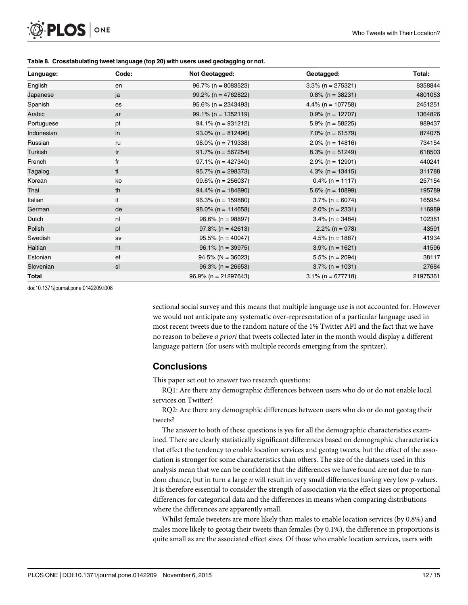<span id="page-11-0"></span>

| Language:  | Code:          | Not Geotagged:          | Geotagged:           | Total:   |
|------------|----------------|-------------------------|----------------------|----------|
| English    | en             | $96.7\%$ (n = 8083523)  | $3.3\%$ (n = 275321) | 8358844  |
| Japanese   | ja             | $99.2\%$ (n = 4762822)  | $0.8\%$ (n = 38231)  | 4801053  |
| Spanish    | es             | $95.6\%$ (n = 2343493)  | 4.4% (n = $107758$ ) | 2451251  |
| Arabic     | ar             | $99.1\%$ (n = 1352119)  | $0.9\%$ (n = 12707)  | 1364826  |
| Portuguese | pt             | $94.1\%$ (n = 931212)   | $5.9\%$ (n = 58225)  | 989437   |
| Indonesian | in             | $93.0\%$ (n = 812496)   | $7.0\%$ (n = 61579)  | 874075   |
| Russian    | ru             | $98.0\%$ (n = 719338)   | $2.0\%$ (n = 14816)  | 734154   |
| Turkish    | tr             | $91.7\%$ (n = 567254)   | $8.3\%$ (n = 51249)  | 618503   |
| French     | fr             | $97.1\%$ (n = 427340)   | $2.9\%$ (n = 12901)  | 440241   |
| Tagalog    | tl             | $95.7\%$ (n = 298373)   | $4.3\%$ (n = 13415)  | 311788   |
| Korean     | ko             | $99.6\%$ (n = 256037)   | $0.4\%$ (n = 1117)   | 257154   |
| Thai       | th             | $94.4\%$ (n = 184890)   | $5.6\%$ (n = 10899)  | 195789   |
| Italian    | it             | $96.3\%$ (n = 159880)   | $3.7\%$ (n = 6074)   | 165954   |
| German     | de             | $98.0\%$ (n = 114658)   | $2.0\%$ (n = 2331)   | 116989   |
| Dutch      | n <sub>l</sub> | $96.6\%$ (n = 98897)    | $3.4\%$ (n = 3484)   | 102381   |
| Polish     | pl             | $97.8\%$ (n = 42613)    | $2.2\%$ (n = 978)    | 43591    |
| Swedish    | SV             | $95.5\%$ (n = 40047)    | $4.5\%$ (n = 1887)   | 41934    |
| Haitian    | ht             | $96.1\%$ (n = 39975)    | $3.9\%$ (n = 1621)   | 41596    |
| Estonian   | et             | $94.5\%$ (N = 36023)    | $5.5\%$ (n = 2094)   | 38117    |
| Slovenian  | sl             | $96.3\%$ (n = 26653)    | $3.7\%$ (n = 1031)   | 27684    |
| Total      |                | $96.9\%$ (n = 21297643) | $3.1\%$ (n = 677718) | 21975361 |

doi:10.1371/journal.pone.0142209.t008

sectional social survey and this means that multiple language use is not accounted for. However we would not anticipate any systematic over-representation of a particular language used in most recent tweets due to the random nature of the 1% Twitter API and the fact that we have no reason to believe a priori that tweets collected later in the month would display a different language pattern (for users with multiple records emerging from the spritzer).

## **Conclusions**

This paper set out to answer two research questions:

RQ1: Are there any demographic differences between users who do or do not enable local services on Twitter?

RQ2: Are there any demographic differences between users who do or do not geotag their tweets?

The answer to both of these questions is yes for all the demographic characteristics examined. There are clearly statistically significant differences based on demographic characteristics that effect the tendency to enable location services and geotag tweets, but the effect of the association is stronger for some characteristics than others. The size of the datasets used in this analysis mean that we can be confident that the differences we have found are not due to random chance, but in turn a large  $n$  will result in very small differences having very low  $p$ -values. It is therefore essential to consider the strength of association via the effect sizes or proportional differences for categorical data and the differences in means when comparing distributions where the differences are apparently small.

Whilst female tweeters are more likely than males to enable location services (by 0.8%) and males more likely to geotag their tweets than females (by 0.1%), the difference in proportions is quite small as are the associated effect sizes. Of those who enable location services, users with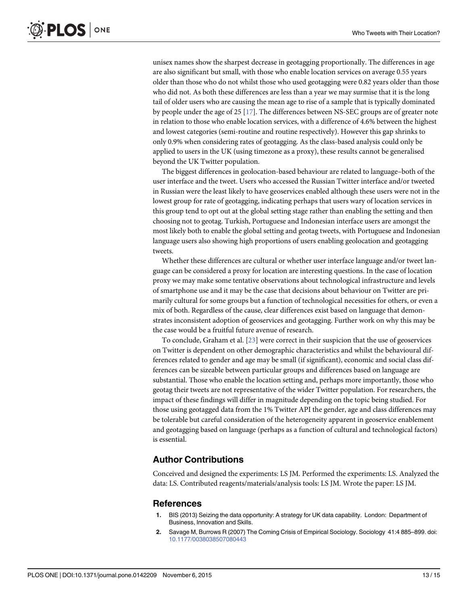<span id="page-12-0"></span>unisex names show the sharpest decrease in geotagging proportionally. The differences in age are also significant but small, with those who enable location services on average 0.55 years older than those who do not whilst those who used geotagging were 0.82 years older than those who did not. As both these differences are less than a year we may surmise that it is the long tail of older users who are causing the mean age to rise of a sample that is typically dominated by people under the age of 25  $[17]$  $[17]$  $[17]$ . The differences between NS-SEC groups are of greater note in relation to those who enable location services, with a difference of 4.6% between the highest and lowest categories (semi-routine and routine respectively). However this gap shrinks to only 0.9% when considering rates of geotagging. As the class-based analysis could only be applied to users in the UK (using timezone as a proxy), these results cannot be generalised beyond the UK Twitter population.

The biggest differences in geolocation-based behaviour are related to language–both of the user interface and the tweet. Users who accessed the Russian Twitter interface and/or tweeted in Russian were the least likely to have geoservices enabled although these users were not in the lowest group for rate of geotagging, indicating perhaps that users wary of location services in this group tend to opt out at the global setting stage rather than enabling the setting and then choosing not to geotag. Turkish, Portuguese and Indonesian interface users are amongst the most likely both to enable the global setting and geotag tweets, with Portuguese and Indonesian language users also showing high proportions of users enabling geolocation and geotagging tweets.

Whether these differences are cultural or whether user interface language and/or tweet language can be considered a proxy for location are interesting questions. In the case of location proxy we may make some tentative observations about technological infrastructure and levels of smartphone use and it may be the case that decisions about behaviour on Twitter are primarily cultural for some groups but a function of technological necessities for others, or even a mix of both. Regardless of the cause, clear differences exist based on language that demonstrates inconsistent adoption of geoservices and geotagging. Further work on why this may be the case would be a fruitful future avenue of research.

To conclude, Graham et al. [[23](#page-13-0)] were correct in their suspicion that the use of geoservices on Twitter is dependent on other demographic characteristics and whilst the behavioural differences related to gender and age may be small (if significant), economic and social class differences can be sizeable between particular groups and differences based on language are substantial. Those who enable the location setting and, perhaps more importantly, those who geotag their tweets are not representative of the wider Twitter population. For researchers, the impact of these findings will differ in magnitude depending on the topic being studied. For those using geotagged data from the 1% Twitter API the gender, age and class differences may be tolerable but careful consideration of the heterogeneity apparent in geoservice enablement and geotagging based on language (perhaps as a function of cultural and technological factors) is essential.

## Author Contributions

Conceived and designed the experiments: LS JM. Performed the experiments: LS. Analyzed the data: LS. Contributed reagents/materials/analysis tools: LS JM. Wrote the paper: LS JM.

### References

- [1.](#page-0-0) BIS (2013) Seizing the data opportunity: A strategy for UK data capability. London: Department of Business, Innovation and Skills.
- [2.](#page-0-0) Savage M, Burrows R (2007) The Coming Crisis of Empirical Sociology. Sociology 41:4 885–899. doi: [10.1177/0038038507080443](http://dx.doi.org/10.1177/0038038507080443)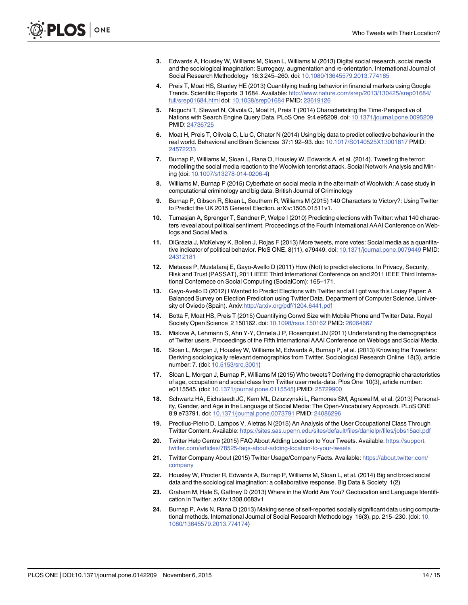- <span id="page-13-0"></span>[3.](#page-0-0) Edwards A, Housley W, Williams M, Sloan L, Williams M (2013) Digital social research, social media and the sociological imagination: Surrogacy, augmentation and re-orientation. International Journal of Social Research Methodology 16:3 245–260. doi: [10.1080/13645579.2013.774185](http://dx.doi.org/10.1080/13645579.2013.774185)
- [4.](#page-0-0) Preis T, Moat HS, Stanley HE (2013) Quantifying trading behavior in financial markets using Google Trends. Scientific Reports 3 1684. Available: [http://www.nature.com/srep/2013/130425/srep01684/](http://www.nature.com/srep/2013/130425/srep01684/full/srep01684.html) [full/srep01684.html](http://www.nature.com/srep/2013/130425/srep01684/full/srep01684.html) doi: [10.1038/srep01684](http://dx.doi.org/10.1038/srep01684) PMID: [23619126](http://www.ncbi.nlm.nih.gov/pubmed/23619126)
- [5.](#page-0-0) Noguchi T, Stewart N, Olivola C, Moat H, Preis T (2014) Characteristing the Time-Perspective of Nations with Search Engine Query Data. PLoS One 9:4 e95209. doi: [10.1371/journal.pone.0095209](http://dx.doi.org/10.1371/journal.pone.0095209) PMID: [24736725](http://www.ncbi.nlm.nih.gov/pubmed/24736725)
- [6.](#page-0-0) Moat H, Preis T, Olivola C, Liu C, Chater N (2014) Using big data to predict collective behaviour in the real world. Behavioral and Brain Sciences 37:1 92–93. doi: [10.1017/S0140525X13001817](http://dx.doi.org/10.1017/S0140525X13001817) PMID: [24572233](http://www.ncbi.nlm.nih.gov/pubmed/24572233)
- [7.](#page-1-0) Burnap P, Williams M, Sloan L, Rana O, Housley W, Edwards A, et al. (2014). Tweeting the terror: modelling the social media reaction to the Woolwich terrorist attack. Social Network Analysis and Mining (doi: [10.1007/s13278-014-0206-4](http://dx.doi.org/10.1007/s13278-014-0206-4))
- [8.](#page-1-0) Williams M, Burnap P (2015) Cyberhate on social media in the aftermath of Woolwich: A case study in computational criminology and big data. British Journal of Criminology
- [9.](#page-1-0) Burnap P, Gibson R, Sloan L, Southern R, Williams M (2015) 140 Characters to Victory?: Using Twitter to Predict the UK 2015 General Election. arXiv:1505.01511v1.
- [10.](#page-1-0) Tumasjan A, Sprenger T, Sandner P, Welpe I (2010) Predicting elections with Twitter: what 140 characters reveal about political sentiment. Proceedings of the Fourth International AAAI Conference on Weblogs and Social Media.
- [11.](#page-1-0) DiGrazia J, McKelvey K, Bollen J, Rojas F (2013) More tweets, more votes: Social media as a quantitative indicator of political behavior. PloS ONE, 8(11), e79449. doi: [10.1371/journal.pone.0079449](http://dx.doi.org/10.1371/journal.pone.0079449) PMID: [24312181](http://www.ncbi.nlm.nih.gov/pubmed/24312181)
- [12.](#page-1-0) Metaxas P, Mustafaraj E, Gayo-Avello D (2011) How (Not) to predict elections. In Privacy, Security, Risk and Trust (PASSAT), 2011 IEEE Third International Conference on and 2011 IEEE Third International Confernece on Social Computing (SocialCom): 165–171.
- [13.](#page-1-0) Gayo-Avello D (2012) I Wanted to Predict Elections with Twitter and all I got was this Lousy Paper: A Balanced Survey on Election Prediction using Twitter Data. Department of Computer Science, University of Oviedo (Spain). Arxiv:<http://arxiv.org/pdf/1204.6441.pdf>
- [14.](#page-1-0) Botta F, Moat HS, Preis T (2015) Quantifying Corwd Size with Mobile Phone and Twitter Data. Royal Society Open Science 2 150162. doi: [10.1098/rsos.150162](http://dx.doi.org/10.1098/rsos.150162) PMID: [26064667](http://www.ncbi.nlm.nih.gov/pubmed/26064667)
- [15.](#page-1-0) Mislove A, Lehmann S, Ahn Y-Y, Onnela J P, Rosenquist JN (2011) Understanding the demographics of Twitter users. Proceedings of the Fifth International AAAI Conference on Weblogs and Social Media.
- [16.](#page-1-0) Sloan L, Morgan J, Housley W, Williams M, Edwards A, Burnap P, et al. (2013) Knowing the Tweeters: Deriving sociologically relevant demographics from Twitter. Sociological Research Online 18(3), article number: 7. (doi: [10.5153/sro.3001\)](http://dx.doi.org/10.5153/sro.3001)
- [17.](#page-1-0) Sloan L, Morgan J, Burnap P, Williams M (2015) Who tweets? Deriving the demographic characteristics of age, occupation and social class from Twitter user meta-data. Plos One 10(3), article number: e0115545. (doi: [10.1371/journal.pone.0115545](http://dx.doi.org/10.1371/journal.pone.0115545)) PMID: [25729900](http://www.ncbi.nlm.nih.gov/pubmed/25729900)
- [18.](#page-1-0) Schwartz HA, Eichstaedt JC, Kern ML, Dziurzynski L, Ramones SM, Agrawal M, et al. (2013) Personality, Gender, and Age in the Language of Social Media: The Open-Vocabulary Approach. PLoS ONE 8:9 e73791. doi: [10.1371/journal.pone.0073791](http://dx.doi.org/10.1371/journal.pone.0073791) PMID: [24086296](http://www.ncbi.nlm.nih.gov/pubmed/24086296)
- [19.](#page-1-0) Preotiuc-Pietro D, Lampos V, Aletras N (2015) An Analysis of the User Occupational Class Through Twitter Content. Available: <https://sites.sas.upenn.edu/sites/default/files/danielpr/files/jobs15acl.pdf>
- [20.](#page-1-0) Twitter Help Centre (2015) FAQ About Adding Location to Your Tweets. Available: [https://support.](https://support.twitter.com/articles/78525-faqs-about-adding-location-to-your-tweets) [twitter.com/articles/78525-faqs-about-adding-location-to-your-tweets](https://support.twitter.com/articles/78525-faqs-about-adding-location-to-your-tweets)
- [21.](#page-2-0) Twitter Company About (2015) Twitter Usage/Company Facts. Available: [https://about.twitter.com/](https://about.twitter.com/company) [company](https://about.twitter.com/company)
- [22.](#page-2-0) Housley W, Procter R, Edwards A, Burnap P, Williams M, Sloan L, et al. (2014) Big and broad social data and the sociological imagination: a collaborative response. Big Data & Society 1(2)
- [23.](#page-2-0) Graham M, Hale S, Gaffney D (2013) Where in the World Are You? Geolocation and Language Identification in Twitter. arXiv:1308.0683v1
- [24.](#page-2-0) Burnap P, Avis N, Rana O (2013) Making sense of self-reported socially significant data using computa-tional methods. International Journal of Social Research Methodology 16(3), pp. 215–230. (doi: [10.](http://dx.doi.org/10.1080/13645579.2013.774174) [1080/13645579.2013.774174](http://dx.doi.org/10.1080/13645579.2013.774174))